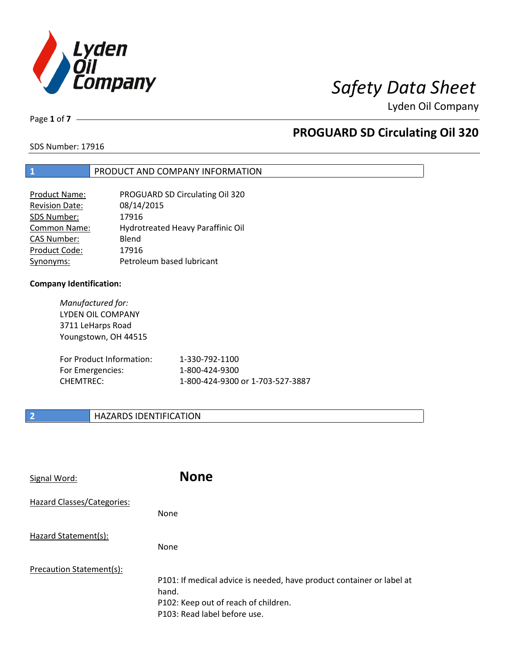

Page **1** of **7**

# **PROGUARD SD Circulating Oil 320**

SDS Number: 17916

### **1** PRODUCT AND COMPANY INFORMATION

| <b>Product Name:</b>  | PROGUARD SD Circulating Oil 320   |
|-----------------------|-----------------------------------|
| <b>Revision Date:</b> | 08/14/2015                        |
| SDS Number:           | 17916                             |
| Common Name:          | Hydrotreated Heavy Paraffinic Oil |
| CAS Number:           | Blend                             |
| Product Code:         | 17916                             |
| Synonyms:             | Petroleum based lubricant         |

### **Company Identification:**

*Manufactured for:* LYDEN OIL COMPANY 3711 LeHarps Road Youngstown, OH 44515

| For Product Information: | 1-330-792-1100                   |
|--------------------------|----------------------------------|
| For Emergencies:         | 1-800-424-9300                   |
| CHEMTREC:                | 1-800-424-9300 or 1-703-527-3887 |

### **2 HAZARDS IDENTIFICATION**

| Signal Word:               | <b>None</b>                                                                                                                                            |
|----------------------------|--------------------------------------------------------------------------------------------------------------------------------------------------------|
| Hazard Classes/Categories: | None                                                                                                                                                   |
| Hazard Statement(s):       | <b>None</b>                                                                                                                                            |
| Precaution Statement(s):   | P101: If medical advice is needed, have product container or label at<br>hand.<br>P102: Keep out of reach of children.<br>P103: Read label before use. |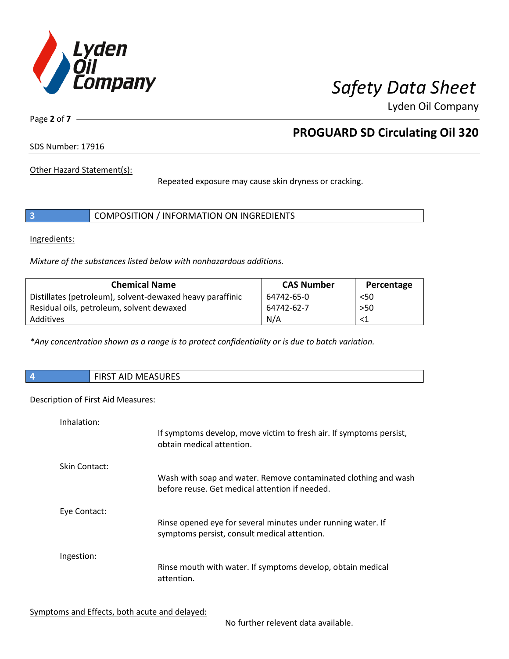

Page **2** of **7**

# **PROGUARD SD Circulating Oil 320**

SDS Number: 17916

Other Hazard Statement(s):

Repeated exposure may cause skin dryness or cracking.

|  | COMPOSITION / INFORMATION ON INGREDIENTS |
|--|------------------------------------------|
|--|------------------------------------------|

Ingredients:

*Mixture of the substances listed below with nonhazardous additions.*

| <b>Chemical Name</b>                                      | <b>CAS Number</b> | Percentage |
|-----------------------------------------------------------|-------------------|------------|
| Distillates (petroleum), solvent-dewaxed heavy paraffinic | 64742-65-0        | $50$       |
| Residual oils, petroleum, solvent dewaxed                 | 64742-62-7        | >50        |
| Additives                                                 | N/A               |            |

*\*Any concentration shown as a range is to protect confidentiality or is due to batch variation.*

| <b>FIRST AID MEASURES</b> |
|---------------------------|
|                           |

### Description of First Aid Measures:

| Inhalation:   | If symptoms develop, move victim to fresh air. If symptoms persist,<br>obtain medical attention.                  |
|---------------|-------------------------------------------------------------------------------------------------------------------|
| Skin Contact: | Wash with soap and water. Remove contaminated clothing and wash<br>before reuse. Get medical attention if needed. |
| Eye Contact:  | Rinse opened eye for several minutes under running water. If<br>symptoms persist, consult medical attention.      |
| Ingestion:    | Rinse mouth with water. If symptoms develop, obtain medical<br>attention.                                         |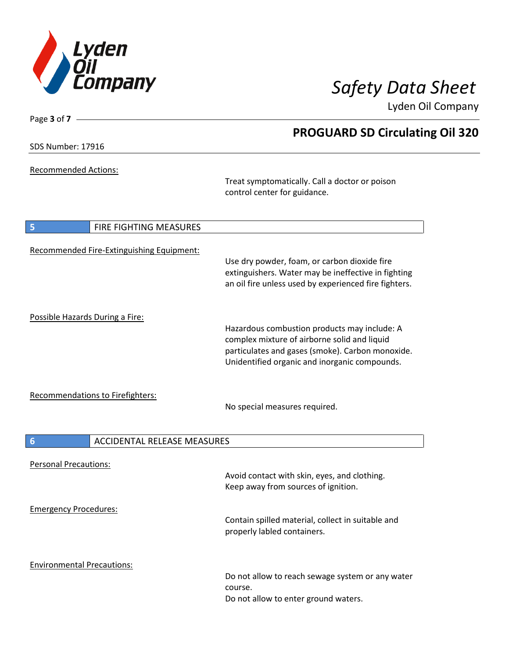

**PROGUARD SD Circulating Oil 320**

Lyden Oil Company

SDS Number: 17916

Page **3** of **7**

Recommended Actions:

Treat symptomatically. Call a doctor or poison control center for guidance.

| 5                                 | FIRE FIGHTING MEASURES                    |                                                                                                                                                                                                   |
|-----------------------------------|-------------------------------------------|---------------------------------------------------------------------------------------------------------------------------------------------------------------------------------------------------|
|                                   | Recommended Fire-Extinguishing Equipment: | Use dry powder, foam, or carbon dioxide fire<br>extinguishers. Water may be ineffective in fighting<br>an oil fire unless used by experienced fire fighters.                                      |
| Possible Hazards During a Fire:   |                                           | Hazardous combustion products may include: A<br>complex mixture of airborne solid and liquid<br>particulates and gases (smoke). Carbon monoxide.<br>Unidentified organic and inorganic compounds. |
|                                   | Recommendations to Firefighters:          | No special measures required.                                                                                                                                                                     |
| $6\phantom{1}6$                   | <b>ACCIDENTAL RELEASE MEASURES</b>        |                                                                                                                                                                                                   |
| <b>Personal Precautions:</b>      |                                           | Avoid contact with skin, eyes, and clothing.<br>Keep away from sources of ignition.                                                                                                               |
| <b>Emergency Procedures:</b>      |                                           | Contain spilled material, collect in suitable and<br>properly labled containers.                                                                                                                  |
| <b>Environmental Precautions:</b> |                                           | Do not allow to reach sewage system or any water<br>course.<br>Do not allow to enter ground waters.                                                                                               |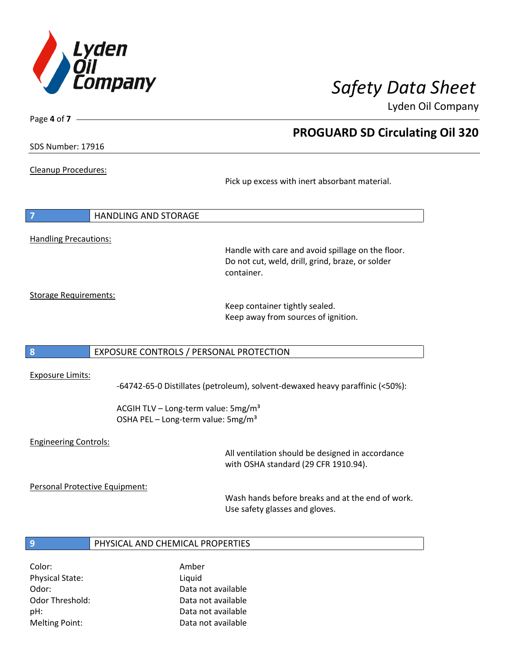

**PROGUARD SD Circulating Oil 320**

Lyden Oil Company

SDS Number: 17916

Page **4** of **7**

Cleanup Procedures:

Pick up excess with inert absorbant material.

**7** HANDLING AND STORAGE Handling Precautions:

> Handle with care and avoid spillage on the floor. Do not cut, weld, drill, grind, braze, or solder container.

Storage Requirements:

Keep container tightly sealed. Keep away from sources of ignition.

### **8** EXPOSURE CONTROLS / PERSONAL PROTECTION

### Exposure Limits:

-64742-65-0 Distillates (petroleum), solvent-dewaxed heavy paraffinic (<50%):

ACGIH TLV – Long-term value: 5mg/m<sup>3</sup> OSHA PEL - Long-term value: 5mg/m<sup>3</sup>

### Engineering Controls:

All ventilation should be designed in accordance with OSHA standard (29 CFR 1910.94).

Personal Protective Equipment:

Wash hands before breaks and at the end of work. Use safety glasses and gloves.

### **9** PHYSICAL AND CHEMICAL PROPERTIES

Color: Amber Physical State: Liquid

Odor: Data not available Odor Threshold: Data not available pH: Data not available Melting Point: Data not available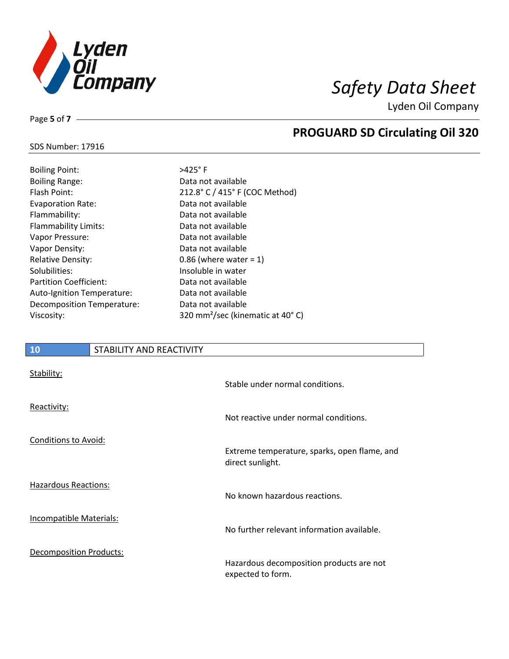

**PROGUARD SD Circulating Oil 320**

Lyden Oil Company

## SDS Number: 17916

Page **5** of **7**

| <b>Boiling Point:</b>            |
|----------------------------------|
| <b>Boiling Range:</b>            |
| Flash Point:                     |
| <b>Evaporation Rate:</b>         |
| Flammability:                    |
| <b>Flammability Limits:</b>      |
| Vapor Pressure:                  |
| Vapor Density:                   |
| <b>Relative Density:</b>         |
| Solubilities:                    |
| <b>Partition Coefficient:</b>    |
| Auto-Ignition Temperature:       |
| <b>Decomposition Temperature</b> |
| Viscosity:                       |

 $>425^\circ$  F Data not available 212.8° C / 415° F (COC Method) Data not available Data not available Data not available Data not available Data not available 0.86 (where water =  $1$ ) Insoluble in water Data not available Data not available : Data not available 320 mm<sup>2</sup>/sec (kinematic at 40° C)

## **10** STABILITY AND REACTIVITY Stability: Stable under normal conditions.

|                                | Stable under normal conditions.                                  |
|--------------------------------|------------------------------------------------------------------|
| Reactivity:                    | Not reactive under normal conditions.                            |
| <b>Conditions to Avoid:</b>    | Extreme temperature, sparks, open flame, and<br>direct sunlight. |
| Hazardous Reactions:           | No known hazardous reactions.                                    |
| <b>Incompatible Materials:</b> | No further relevant information available.                       |
| <b>Decomposition Products:</b> | Hazardous decomposition products are not<br>expected to form.    |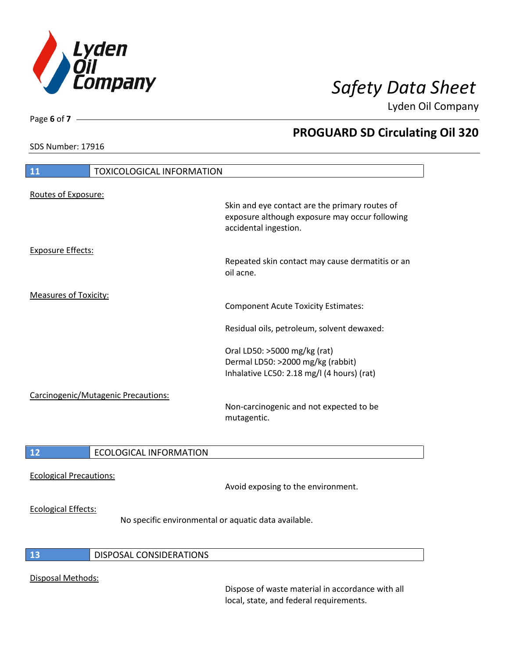

SDS Number: 17916

Page **6** of **7**

# **PROGUARD SD Circulating Oil 320**

| 11                                  | <b>TOXICOLOGICAL INFORMATION</b> |                                                                                                                           |
|-------------------------------------|----------------------------------|---------------------------------------------------------------------------------------------------------------------------|
| Routes of Exposure:                 |                                  |                                                                                                                           |
|                                     |                                  | Skin and eye contact are the primary routes of<br>exposure although exposure may occur following<br>accidental ingestion. |
| <b>Exposure Effects:</b>            |                                  |                                                                                                                           |
|                                     |                                  | Repeated skin contact may cause dermatitis or an<br>oil acne.                                                             |
| <b>Measures of Toxicity:</b>        |                                  |                                                                                                                           |
|                                     |                                  | <b>Component Acute Toxicity Estimates:</b>                                                                                |
|                                     |                                  | Residual oils, petroleum, solvent dewaxed:                                                                                |
|                                     |                                  | Oral LD50: >5000 mg/kg (rat)                                                                                              |
|                                     |                                  | Dermal LD50: >2000 mg/kg (rabbit)                                                                                         |
|                                     |                                  | Inhalative LC50: 2.18 mg/l (4 hours) (rat)                                                                                |
| Carcinogenic/Mutagenic Precautions: |                                  |                                                                                                                           |
|                                     |                                  | Non-carcinogenic and not expected to be<br>mutagentic.                                                                    |
| 12                                  | <b>ECOLOGICAL INFORMATION</b>    |                                                                                                                           |
|                                     |                                  |                                                                                                                           |

Ecological Precautions:

Avoid exposing to the environment.

### Ecological Effects:

No specific environmental or aquatic data available.

### **13** DISPOSAL CONSIDERATIONS

### Disposal Methods:

Dispose of waste material in accordance with all local, state, and federal requirements.